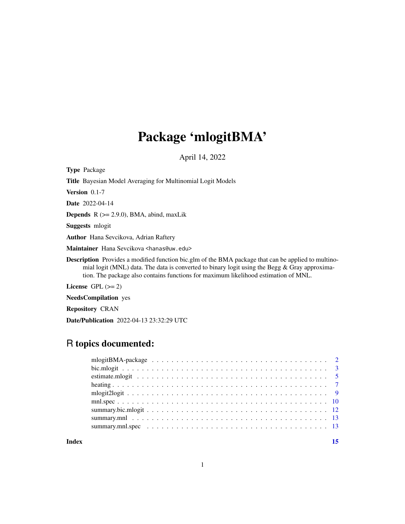# Package 'mlogitBMA'

April 14, 2022

<span id="page-0-0"></span>Type Package

Title Bayesian Model Averaging for Multinomial Logit Models

Version 0.1-7

Date 2022-04-14

**Depends** R  $(>= 2.9.0)$ , BMA, abind, maxLik

Suggests mlogit

Author Hana Sevcikova, Adrian Raftery

Maintainer Hana Sevcikova <hanas@uw.edu>

Description Provides a modified function bic.glm of the BMA package that can be applied to multinomial logit (MNL) data. The data is converted to binary logit using the Begg  $\&$  Gray approximation. The package also contains functions for maximum likelihood estimation of MNL.

License  $GPL (= 2)$ 

NeedsCompilation yes

Repository CRAN

Date/Publication 2022-04-13 23:32:29 UTC

## R topics documented:

| Index |  |
|-------|--|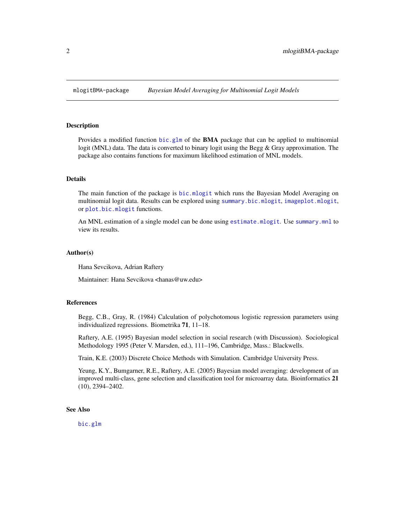<span id="page-1-0"></span>

#### **Description**

Provides a modified function [bic.glm](#page-0-0) of the BMA package that can be applied to multinomial logit (MNL) data. The data is converted to binary logit using the Begg & Gray approximation. The package also contains functions for maximum likelihood estimation of MNL models.

#### Details

The main function of the package is [bic.mlogit](#page-2-1) which runs the Bayesian Model Averaging on multinomial logit data. Results can be explored using [summary.bic.mlogit](#page-11-1), [imageplot.mlogit](#page-11-2), or [plot.bic.mlogit](#page-11-2) functions.

An MNL estimation of a single model can be done using [estimate.mlogit](#page-4-1). Use [summary.mnl](#page-12-1) to view its results.

#### Author(s)

Hana Sevcikova, Adrian Raftery

Maintainer: Hana Sevcikova <hanas@uw.edu>

#### References

Begg, C.B., Gray, R. (1984) Calculation of polychotomous logistic regression parameters using individualized regressions. Biometrika 71, 11–18.

Raftery, A.E. (1995) Bayesian model selection in social research (with Discussion). Sociological Methodology 1995 (Peter V. Marsden, ed.), 111–196, Cambridge, Mass.: Blackwells.

Train, K.E. (2003) Discrete Choice Methods with Simulation. Cambridge University Press.

Yeung, K.Y., Bumgarner, R.E., Raftery, A.E. (2005) Bayesian model averaging: development of an improved multi-class, gene selection and classification tool for microarray data. Bioinformatics 21 (10), 2394–2402.

#### See Also

[bic.glm](#page-0-0)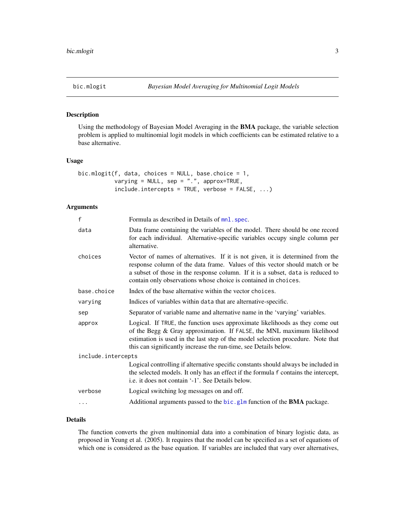<span id="page-2-1"></span><span id="page-2-0"></span>

#### Description

Using the methodology of Bayesian Model Averaging in the BMA package, the variable selection problem is applied to multinomial logit models in which coefficients can be estimated relative to a base alternative.

#### Usage

```
bic.mlogit(f, data, choices = NULL, base.choice = 1,
           varying = NULL, sep = ".", approx=TRUE,
           include.intercepts = TRUE, verbose = FALSE, ...)
```
#### Arguments

| $\mathsf{f}$       | Formula as described in Details of mnl. spec.                                                                                                                                                                                                                                                                       |  |
|--------------------|---------------------------------------------------------------------------------------------------------------------------------------------------------------------------------------------------------------------------------------------------------------------------------------------------------------------|--|
| data               | Data frame containing the variables of the model. There should be one record<br>for each individual. Alternative-specific variables occupy single column per<br>alternative.                                                                                                                                        |  |
| choices            | Vector of names of alternatives. If it is not given, it is determined from the<br>response column of the data frame. Values of this vector should match or be<br>a subset of those in the response column. If it is a subset, data is reduced to<br>contain only observations whose choice is contained in choices. |  |
| base.choice        | Index of the base alternative within the vector choices.                                                                                                                                                                                                                                                            |  |
| varying            | Indices of variables within data that are alternative-specific.                                                                                                                                                                                                                                                     |  |
| sep                | Separator of variable name and alternative name in the 'varying' variables.                                                                                                                                                                                                                                         |  |
| approx             | Logical. If TRUE, the function uses approximate likelihoods as they come out<br>of the Begg & Gray approximation. If FALSE, the MNL maximum likelihood<br>estimation is used in the last step of the model selection procedure. Note that<br>this can significantly increase the run-time, see Details below.       |  |
| include.intercepts |                                                                                                                                                                                                                                                                                                                     |  |
|                    | Logical controlling if alternative specific constants should always be included in<br>the selected models. It only has an effect if the formula f contains the intercept,<br>i.e. it does not contain '-1'. See Details below.                                                                                      |  |
| verbose            | Logical switching log messages on and off.                                                                                                                                                                                                                                                                          |  |
|                    | Additional arguments passed to the bic.glm function of the BMA package.                                                                                                                                                                                                                                             |  |
|                    |                                                                                                                                                                                                                                                                                                                     |  |

#### Details

The function converts the given multinomial data into a combination of binary logistic data, as proposed in Yeung et al. (2005). It requires that the model can be specified as a set of equations of which one is considered as the base equation. If variables are included that vary over alternatives,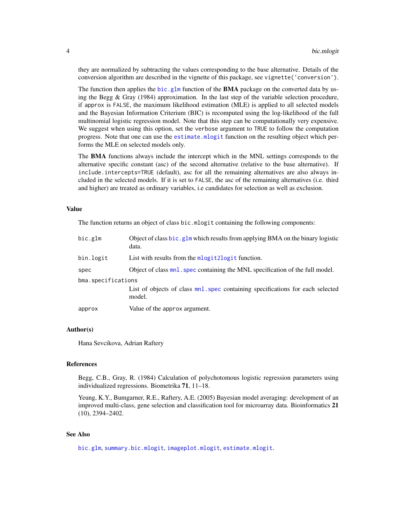<span id="page-3-0"></span>they are normalized by subtracting the values corresponding to the base alternative. Details of the conversion algorithm are described in the vignette of this package, see vignette('conversion').

The function then applies the [bic.glm](#page-0-0) function of the **BMA** package on the converted data by using the Begg & Gray (1984) approximation. In the last step of the variable selection procedure, if approx is FALSE, the maximum likelihood estimation (MLE) is applied to all selected models and the Bayesian Information Criterium (BIC) is recomputed using the log-likelihood of the full multinomial logistic regression model. Note that this step can be computationally very expensive. We suggest when using this option, set the verbose argument to TRUE to follow the computation progress. Note that one can use the [estimate.mlogit](#page-4-1) function on the resulting object which performs the MLE on selected models only.

The BMA functions always include the intercept which in the MNL settings corresponds to the alternative specific constant (asc) of the second alternative (relative to the base alternative). If include.intercepts=TRUE (default), asc for all the remaining alternatives are also always included in the selected models. If it is set to FALSE, the asc of the remaining alternatives (i.e. third and higher) are treated as ordinary variables, i.e candidates for selection as well as exclusion.

#### Value

The function returns an object of class bic.mlogit containing the following components:

| bic.glm            | Object of class bic.glm which results from applying BMA on the binary logistic<br>data.  |  |
|--------------------|------------------------------------------------------------------------------------------|--|
| bin.logit          | List with results from the mlogit 2 logit function.                                      |  |
| spec               | Object of class mnl, spec containing the MNL specification of the full model.            |  |
| bma.specifications |                                                                                          |  |
|                    | List of objects of class mnl. spec containing specifications for each selected<br>model. |  |
| approx             | Value of the approx argument.                                                            |  |

#### Author(s)

Hana Sevcikova, Adrian Raftery

#### References

Begg, C.B., Gray, R. (1984) Calculation of polychotomous logistic regression parameters using individualized regressions. Biometrika 71, 11–18.

Yeung, K.Y., Bumgarner, R.E., Raftery, A.E. (2005) Bayesian model averaging: development of an improved multi-class, gene selection and classification tool for microarray data. Bioinformatics 21 (10), 2394–2402.

#### See Also

[bic.glm](#page-0-0), [summary.bic.mlogit](#page-11-1), [imageplot.mlogit](#page-11-2), [estimate.mlogit](#page-4-1).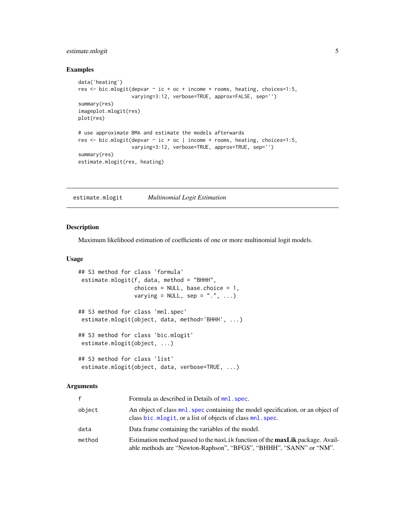#### <span id="page-4-0"></span>estimate.mlogit 5

#### Examples

```
data('heating')
res <- bic.mlogit(depvar ~ ic + oc + income + rooms, heating, choices=1:5,
                 varying=3:12, verbose=TRUE, approx=FALSE, sep='')
summary(res)
imageplot.mlogit(res)
plot(res)
# use approximate BMA and estimate the models afterwards
res <- bic.mlogit(depvar ~ ic + oc | income + rooms, heating, choices=1:5,
                  varying=3:12, verbose=TRUE, approx=TRUE, sep='')
summary(res)
estimate.mlogit(res, heating)
```
<span id="page-4-1"></span>estimate.mlogit *Multinomial Logit Estimation*

#### <span id="page-4-2"></span>Description

Maximum likelihood estimation of coefficients of one or more multinomial logit models.

#### Usage

```
## S3 method for class 'formula'
estimate.mlogit(f, data, method = "BHHH",
                 choices = NULL, base.choice = 1,
                 varying = NULL, sep = ".", ...)
## S3 method for class 'mnl.spec'
estimate.mlogit(object, data, method='BHHH', ...)
## S3 method for class 'bic.mlogit'
estimate.mlogit(object, ...)
## S3 method for class 'list'
estimate.mlogit(object, data, verbose=TRUE, ...)
```
#### Arguments

| f      | Formula as described in Details of mnl. spec.                                                                                                              |
|--------|------------------------------------------------------------------------------------------------------------------------------------------------------------|
| object | An object of class mnl, spec containing the model specification, or an object of<br>class bic.mlogit, or a list of objects of class mnl.spec.              |
| data   | Data frame containing the variables of the model.                                                                                                          |
| method | Estimation method passed to the maxLik function of the <b>maxLik</b> package. Avail-<br>able methods are "Newton-Raphson", "BFGS", "BHHH", "SANN" or "NM". |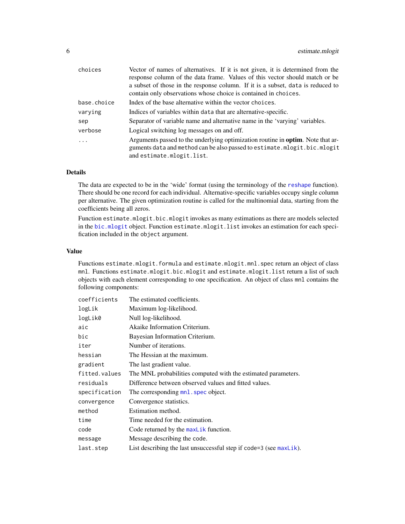<span id="page-5-0"></span>

| choices     | Vector of names of alternatives. If it is not given, it is determined from the          |  |
|-------------|-----------------------------------------------------------------------------------------|--|
|             | response column of the data frame. Values of this vector should match or be             |  |
|             | a subset of those in the response column. If it is a subset, data is reduced to         |  |
|             | contain only observations whose choice is contained in choices.                         |  |
| base.choice | Index of the base alternative within the vector choices.                                |  |
| varving     | Indices of variables within data that are alternative-specific.                         |  |
| sep         | Separator of variable name and alternative name in the 'varying' variables.             |  |
| verbose     | Logical switching log messages on and off.                                              |  |
| .           | Arguments passed to the underlying optimization routine in <b>optim</b> . Note that ar- |  |
|             | guments data and method can be also passed to estimate.mlogit.bic.mlogit                |  |
|             | and estimate.mlogit.list.                                                               |  |

#### Details

The data are expected to be in the 'wide' format (using the terminology of the [reshape](#page-0-0) function). There should be one record for each individual. Alternative-specific variables occupy single column per alternative. The given optimization routine is called for the multinomial data, starting from the coefficients being all zeros.

Function estimate.mlogit.bic.mlogit invokes as many estimations as there are models selected in the [bic.mlogit](#page-2-1) object. Function estimate.mlogit.list invokes an estimation for each specification included in the object argument.

#### Value

Functions estimate.mlogit.formula and estimate.mlogit.mnl.spec return an object of class mnl. Functions estimate.mlogit.bic.mlogit and estimate.mlogit.list return a list of such objects with each element corresponding to one specification. An object of class mnl contains the following components:

| coefficients  | The estimated coefficients.                                          |
|---------------|----------------------------------------------------------------------|
| logLik        | Maximum log-likelihood.                                              |
| logLik0       | Null log-likelihood.                                                 |
| aic           | Akaike Information Criterium.                                        |
| bic           | Bayesian Information Criterium.                                      |
| iter          | Number of iterations.                                                |
| hessian       | The Hessian at the maximum.                                          |
| gradient      | The last gradient value.                                             |
| fitted.values | The MNL probabilities computed with the estimated parameters.        |
| residuals     | Difference between observed values and fitted values.                |
| specification | The corresponding mnl. spec object.                                  |
| convergence   | Convergence statistics.                                              |
| method        | Estimation method.                                                   |
| time          | Time needed for the estimation.                                      |
| code          | Code returned by the $maxList$ function.                             |
| message       | Message describing the code.                                         |
| last.step     | List describing the last unsuccessful step if $code=3$ (see maxlik). |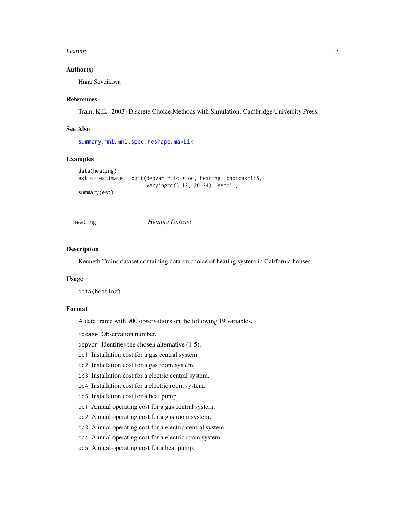#### <span id="page-6-0"></span>heating 7 and 2008, the state of the state of the state of the state of the state of the state of the state of the state of the state of the state of the state of the state of the state of the state of the state of the sta

#### Author(s)

Hana Sevcikova

#### References

Train, K.E. (2003) Discrete Choice Methods with Simulation. Cambridge University Press.

#### See Also

[summary.mnl](#page-12-1), [mnl.spec](#page-9-1), [reshape](#page-0-0), [maxLik](#page-0-0)

#### Examples

```
data(heating)
est <- estimate.mlogit(depvar ~ ic + oc, heating, choices=1:5,
                       varying=c(3:12, 20:24), sep='')
summary(est)
```
#### heating *Heating Dataset*

#### Description

Kenneth Trains dataset containing data on choice of heating system in California houses.

#### Usage

data(heating)

#### Format

A data frame with 900 observations on the following 19 variables.

idcase Observation number.

depvar Identifies the chosen alternative (1-5).

- ic1 Installation cost for a gas central system.
- ic2 Installation cost for a gas room system.
- ic3 Installation cost for a electric central system.
- ic4 Installation cost for a electric room system.
- ic5 Installation cost for a heat pump.
- oc1 Annual operating cost for a gas central system.
- oc2 Annual operating cost for a gas room system.
- oc3 Annual operating cost for a electric central system.
- oc4 Annual operating cost for a electric room system.
- oc5 Annual operating cost for a heat pump.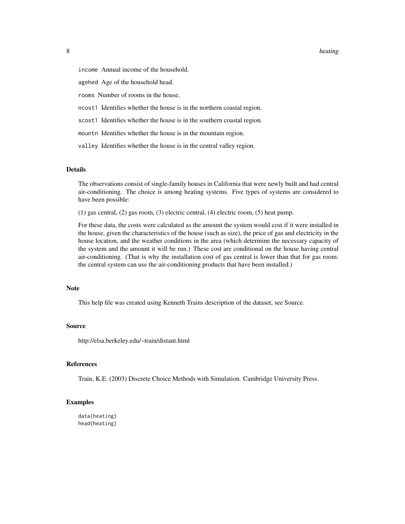#### 8 heating the state of the state of the state of the state of the state of the state of the state of the state of the state of the state of the state of the state of the state of the state of the state of the state of the

income Annual income of the household.

agehed Age of the household head.

rooms Number of rooms in the house.

- ncost1 Identifies whether the house is in the northern coastal region.
- scost1 Identifies whether the house is in the southern coastal region.
- mountn Identifies whether the house is in the mountain region.
- valley Identifies whether the house is in the central valley region.

#### Details

The observations consist of single-family houses in California that were newly built and had central air-conditioning. The choice is among heating systems. Five types of systems are considered to have been possible:

(1) gas central, (2) gas room, (3) electric central, (4) electric room, (5) heat pump.

For these data, the costs were calculated as the amount the system would cost if it were installed in the house, given the characteristics of the house (such as size), the price of gas and electricity in the house location, and the weather conditions in the area (which determine the necessary capacity of the system and the amount it will be run.) These cost are conditional on the house having central air-conditioning. (That is why the installation cost of gas central is lower than that for gas room: the central system can use the air-conditioning products that have been installed.)

#### Note

This help file was created using Kenneth Trains description of the dataset, see Source.

#### Source

http://elsa.berkeley.edu/~train/distant.html

#### References

Train, K.E. (2003) Discrete Choice Methods with Simulation. Cambridge University Press.

#### Examples

```
data(heating)
head(heating)
```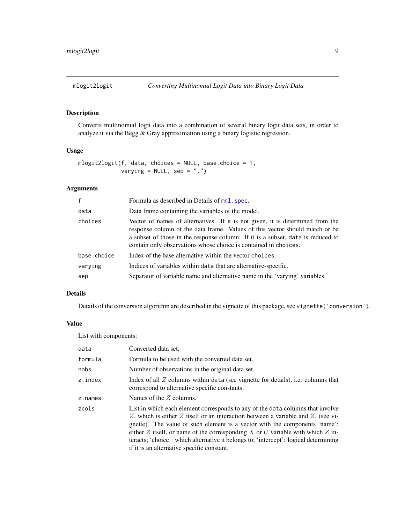<span id="page-8-1"></span><span id="page-8-0"></span>

#### Description

Converts multinomial logit data into a combination of several binary logit data sets, in order to analyze it via the Begg & Gray approximation using a binary logistic regression.

#### Usage

```
mlogit2logit(f, data, choices = NULL, base.choice = 1,
            varying = NULL, sep = ".")
```
#### Arguments

| $\mathbf{f}$ | Formula as described in Details of $mnl$ . spec.                                                                                                                                                                                                                                                                    |
|--------------|---------------------------------------------------------------------------------------------------------------------------------------------------------------------------------------------------------------------------------------------------------------------------------------------------------------------|
| data         | Data frame containing the variables of the model.                                                                                                                                                                                                                                                                   |
| choices      | Vector of names of alternatives. If it is not given, it is determined from the<br>response column of the data frame. Values of this vector should match or be<br>a subset of those in the response column. If it is a subset, data is reduced to<br>contain only observations whose choice is contained in choices. |
| base.choice  | Index of the base alternative within the vector choices.                                                                                                                                                                                                                                                            |
| varying      | Indices of variables within data that are alternative-specific.                                                                                                                                                                                                                                                     |
| sep          | Separator of variable name and alternative name in the 'varying' variables.                                                                                                                                                                                                                                         |

#### Details

Details of the conversion algorithm are described in the vignette of this package, see vignette('conversion').

#### Value

List with components:

| data    | Converted data set.                                                                                                                                                                                                                                                                                                                                                                                                                                                      |
|---------|--------------------------------------------------------------------------------------------------------------------------------------------------------------------------------------------------------------------------------------------------------------------------------------------------------------------------------------------------------------------------------------------------------------------------------------------------------------------------|
| formula | Formula to be used with the converted data set.                                                                                                                                                                                                                                                                                                                                                                                                                          |
| nobs    | Number of observations in the original data set.                                                                                                                                                                                                                                                                                                                                                                                                                         |
| z.index | Index of all $Z$ columns within data (see vignette for details), i.e. columns that<br>correspond to alternative specific constants.                                                                                                                                                                                                                                                                                                                                      |
| z.names | Names of the $Z$ columns.                                                                                                                                                                                                                                                                                                                                                                                                                                                |
| zcols   | List in which each element corresponds to any of the data columns that involve<br>Z, which is either Z itself or an interaction between a variable and Z, (see vi-<br>gnette). The value of such element is a vector with the components 'name':<br>either Z itself, or name of the corresponding X or U variable with which Z in-<br>teracts; 'choice': which alternative it belongs to; 'intercept': logical determining<br>if it is an alternative specific constant. |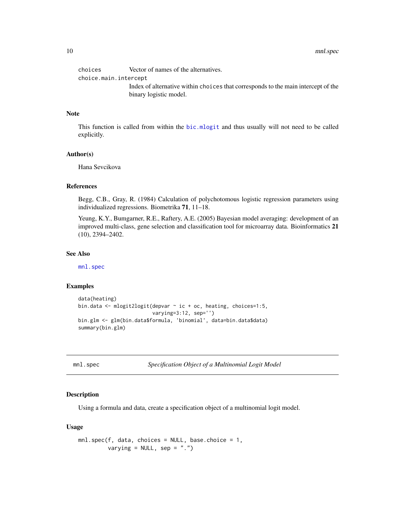<span id="page-9-0"></span>

| choices               | Vector of names of the alternatives.                                              |
|-----------------------|-----------------------------------------------------------------------------------|
| choice.main.intercept |                                                                                   |
|                       | Index of alternative within choices that corresponds to the main intercept of the |
|                       | binary logistic model.                                                            |

#### Note

This function is called from within the [bic.mlogit](#page-2-1) and thus usually will not need to be called explicitly.

#### Author(s)

Hana Sevcikova

#### References

Begg, C.B., Gray, R. (1984) Calculation of polychotomous logistic regression parameters using individualized regressions. Biometrika 71, 11–18.

Yeung, K.Y., Bumgarner, R.E., Raftery, A.E. (2005) Bayesian model averaging: development of an improved multi-class, gene selection and classification tool for microarray data. Bioinformatics 21 (10), 2394–2402.

#### See Also

[mnl.spec](#page-9-1)

#### Examples

```
data(heating)
bin.data <- mlogit2logit(depvar ~ ic + oc, heating, choices=1:5,
                         varying=3:12, sep='')
bin.glm <- glm(bin.data$formula, 'binomial', data=bin.data$data)
summary(bin.glm)
```
<span id="page-9-1"></span>mnl.spec *Specification Object of a Multinomial Logit Model*

#### Description

Using a formula and data, create a specification object of a multinomial logit model.

#### Usage

```
mnl.spec(f, data, choices = NULL, base.choice = 1,
         varying = NULL, sep = ".")
```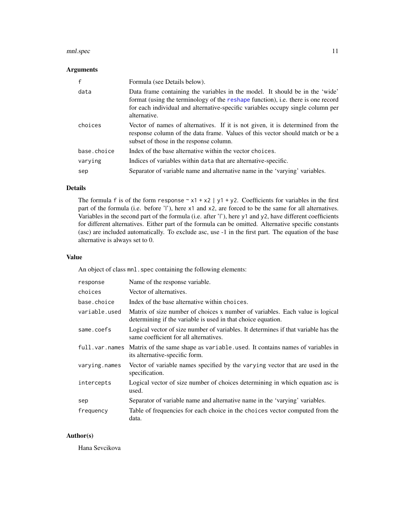#### <span id="page-10-0"></span>mnl.spec 11

#### Arguments

| f           | Formula (see Details below).                                                                                                                                                                                                                                        |
|-------------|---------------------------------------------------------------------------------------------------------------------------------------------------------------------------------------------------------------------------------------------------------------------|
| data        | Data frame containing the variables in the model. It should be in the 'wide'<br>format (using the terminology of the reshape function), i.e. there is one record<br>for each individual and alternative-specific variables occupy single column per<br>alternative. |
| choices     | Vector of names of alternatives. If it is not given, it is determined from the<br>response column of the data frame. Values of this vector should match or be a<br>subset of those in the response column.                                                          |
| base.choice | Index of the base alternative within the vector choices.                                                                                                                                                                                                            |
| varying     | Indices of variables within data that are alternative-specific.                                                                                                                                                                                                     |
| sep         | Separator of variable name and alternative name in the 'varying' variables.                                                                                                                                                                                         |

#### Details

The formula f is of the form response  $\sim x1 + x2$  | y1 + y2. Coefficients for variables in the first part of the formula (i.e. before 'l'), here x1 and x2, are forced to be the same for all alternatives. Variables in the second part of the formula (i.e. after 'l'), here y1 and y2, have different coefficients for different alternatives. Either part of the formula can be omitted. Alternative specific constants (asc) are included automatically. To exclude asc, use -1 in the first part. The equation of the base alternative is always set to 0.

#### Value

An object of class mnl. spec containing the following elements:

| response       | Name of the response variable.                                                                                                                |
|----------------|-----------------------------------------------------------------------------------------------------------------------------------------------|
| choices        | Vector of alternatives.                                                                                                                       |
| base.choice    | Index of the base alternative within choices.                                                                                                 |
| variable.used  | Matrix of size number of choices x number of variables. Each value is logical<br>determining if the variable is used in that choice equation. |
| same.coefs     | Logical vector of size number of variables. It determines if that variable has the<br>same coefficient for all alternatives.                  |
| full.var.names | Matrix of the same shape as variable. used. It contains names of variables in<br>its alternative-specific form.                               |
| varying.names  | Vector of variable names specified by the varying vector that are used in the<br>specification.                                               |
| intercepts     | Logical vector of size number of choices determining in which equation asc is<br>used.                                                        |
| sep            | Separator of variable name and alternative name in the 'varying' variables.                                                                   |
| frequency      | Table of frequencies for each choice in the choices vector computed from the<br>data.                                                         |

#### Author(s)

Hana Sevcikova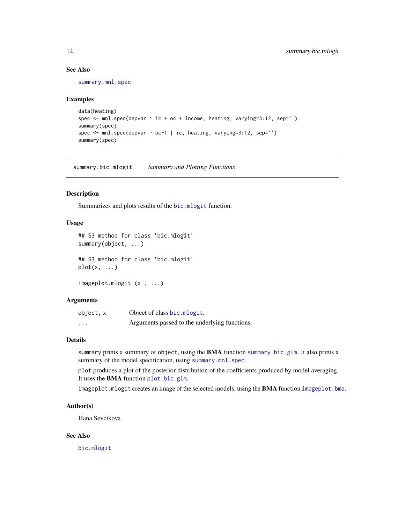#### <span id="page-11-0"></span>See Also

[summary.mnl.spec](#page-12-2)

#### Examples

```
data(heating)
spec \le mnl.spec(depvar \sim ic + oc + income, heating, varying=3:12, sep='')
summary(spec)
spec <- mnl.spec(depvar ~ oc-1 | ic, heating, varying=3:12, sep='')
summary(spec)
```
<span id="page-11-1"></span>summary.bic.mlogit *Summary and Plotting Functions*

#### <span id="page-11-2"></span>Description

Summarizes and plots results of the [bic.mlogit](#page-2-1) function.

#### Usage

```
## S3 method for class 'bic.mlogit'
summary(object, ...)
## S3 method for class 'bic.mlogit'
plot(x, \ldots)
```
imageplot.mlogit (x , ...)

#### **Arguments**

| object, x               | Object of class bic.mlogit.                   |
|-------------------------|-----------------------------------------------|
| $\cdot$ $\cdot$ $\cdot$ | Arguments passed to the underlying functions. |

#### Details

summary prints a summary of object, using the **BMA** function [summary.bic.glm](#page-0-0). It also prints a summary of the model specification, using [summary.mnl.spec](#page-12-2).

plot produces a plot of the posterior distribution of the coefficients produced by model averaging. It uses the BMA function [plot.bic.glm](#page-0-0).

imageplot.mlogit creates an image of the selected models, using the BMA function [imageplot.bma](#page-0-0).

#### Author(s)

Hana Sevcikova

#### See Also

[bic.mlogit](#page-2-1)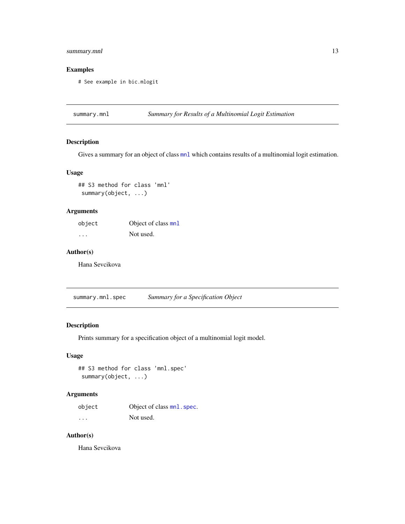#### <span id="page-12-0"></span>summary.mnl 13

#### Examples

# See example in bic.mlogit

<span id="page-12-1"></span>summary.mnl *Summary for Results of a Multinomial Logit Estimation*

#### Description

Gives a summary for an object of class [mnl](#page-4-2) which contains results of a multinomial logit estimation.

#### Usage

```
## S3 method for class 'mnl'
summary(object, ...)
```
#### Arguments

| object                  | Object of class mnl |
|-------------------------|---------------------|
| $\cdot$ $\cdot$ $\cdot$ | Not used.           |

#### Author(s)

Hana Sevcikova

<span id="page-12-2"></span>summary.mnl.spec *Summary for a Specification Object*

#### Description

Prints summary for a specification object of a multinomial logit model.

#### Usage

## S3 method for class 'mnl.spec' summary(object, ...)

#### Arguments

| object   | Object of class mnl. spec. |
|----------|----------------------------|
| $\cdots$ | Not used.                  |

#### Author(s)

Hana Sevcikova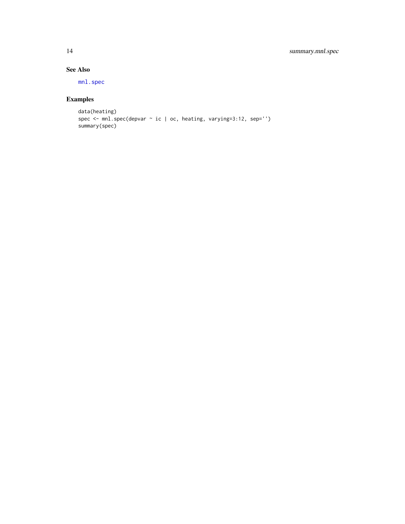### See Also

[mnl.spec](#page-9-1)

### Examples

```
data(heating)
spec <- mnl.spec(depvar ~ ic | oc, heating, varying=3:12, sep='')
summary(spec)
```
<span id="page-13-0"></span>